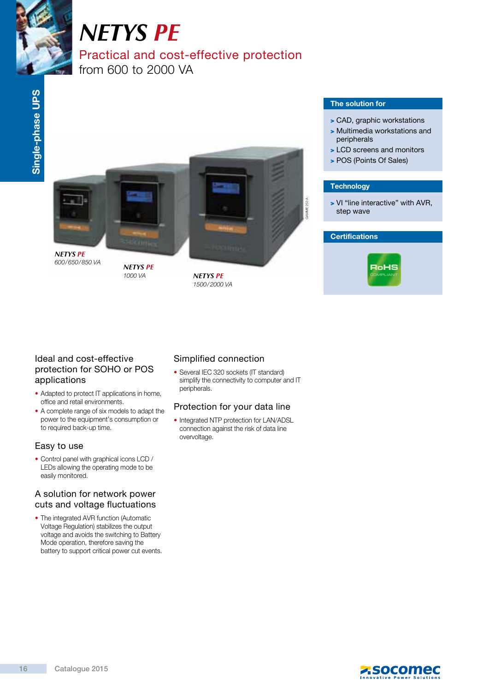

# *NETYS PE*

# Practical and cost-effective protection

from 600 to 2000 VA



*NETYS PE*

1000 VA *NETYS PE* 1500 / 2000 VA

#### The solution for

- > CAD, graphic workstations
- > Multimedia workstations and peripherals
- > LCD screens and monitors
- > POS (Points Of Sales)

#### **Technology**

> VI "line interactive" with AVR, step wave

#### **Certifications**



#### Ideal and cost-effective protection for SOHO or POS applications

- Adapted to protect IT applications in home, office and retail environments.
- A complete range of six models to adapt the power to the equipment's consumption or to required back-up time.

#### Easy to use

• Control panel with graphical icons LCD / LEDs allowing the operating mode to be easily monitored.

#### A solution for network power cuts and voltage fluctuations

• The integrated AVR function (Automatic Voltage Regulation) stabilizes the output voltage and avoids the switching to Battery Mode operation, therefore saving the battery to support critical power cut events.

## Simplified connection

• Several IEC 320 sockets (IT standard) simplify the connectivity to computer and IT peripherals.

## Protection for your data line

• Integrated NTP protection for LAN/ADSL connection against the risk of data line overvoltage.